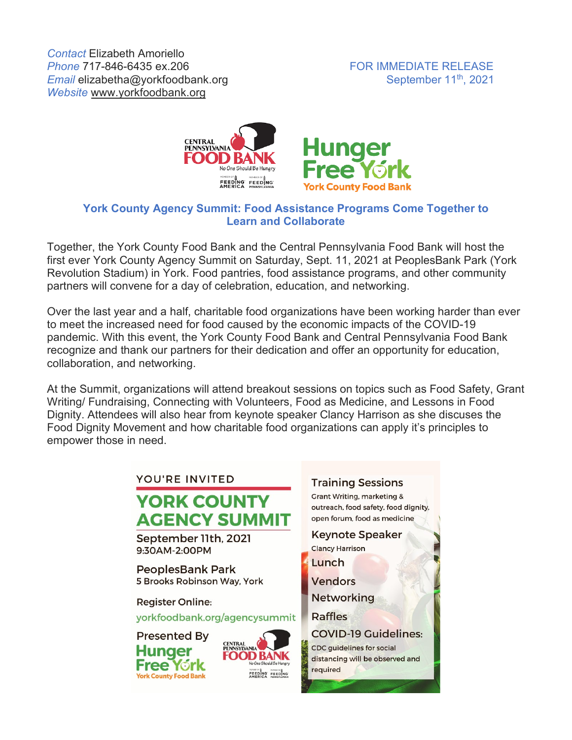

## **York County Agency Summit: Food Assistance Programs Come Together to Learn and Collaborate**

Together, the York County Food Bank and the Central Pennsylvania Food Bank will host the first ever York County Agency Summit on Saturday, Sept. 11, 2021 at PeoplesBank Park (York Revolution Stadium) in York. Food pantries, food assistance programs, and other community partners will convene for a day of celebration, education, and networking.

Over the last year and a half, charitable food organizations have been working harder than ever to meet the increased need for food caused by the economic impacts of the COVID-19 pandemic. With this event, the York County Food Bank and Central Pennsylvania Food Bank recognize and thank our partners for their dedication and offer an opportunity for education, collaboration, and networking.

At the Summit, organizations will attend breakout sessions on topics such as Food Safety, Grant Writing/ Fundraising, Connecting with Volunteers, Food as Medicine, and Lessons in Food Dignity. Attendees will also hear from keynote speaker Clancy Harrison as she discuses the Food Dignity Movement and how charitable food organizations can apply it's principles to empower those in need.